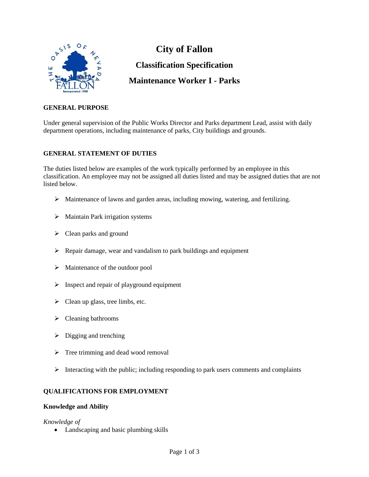

**City of Fallon Classification Specification Maintenance Worker I - Parks**

# **GENERAL PURPOSE**

Under general supervision of the Public Works Director and Parks department Lead, assist with daily department operations, including maintenance of parks, City buildings and grounds.

# **GENERAL STATEMENT OF DUTIES**

The duties listed below are examples of the work typically performed by an employee in this classification. An employee may not be assigned all duties listed and may be assigned duties that are not listed below.

- $\triangleright$  Maintenance of lawns and garden areas, including mowing, watering, and fertilizing.
- ➢ Maintain Park irrigation systems
- $\triangleright$  Clean parks and ground
- $\triangleright$  Repair damage, wear and vandalism to park buildings and equipment
- ➢ Maintenance of the outdoor pool
- $\triangleright$  Inspect and repair of playground equipment
- $\triangleright$  Clean up glass, tree limbs, etc.
- ➢ Cleaning bathrooms
- $\triangleright$  Digging and trenching
- $\triangleright$  Tree trimming and dead wood removal
- ➢ Interacting with the public; including responding to park users comments and complaints

### **QUALIFICATIONS FOR EMPLOYMENT**

### **Knowledge and Ability**

### *Knowledge of*

• Landscaping and basic plumbing skills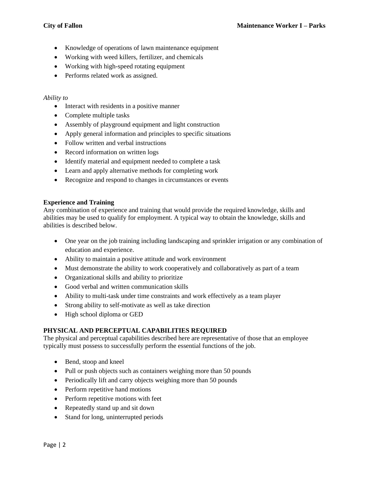- Knowledge of operations of lawn maintenance equipment
- Working with weed killers, fertilizer, and chemicals
- Working with high-speed rotating equipment
- Performs related work as assigned.

# *Ability to*

- Interact with residents in a positive manner
- Complete multiple tasks
- Assembly of playground equipment and light construction
- Apply general information and principles to specific situations
- Follow written and verbal instructions
- Record information on written logs
- Identify material and equipment needed to complete a task
- Learn and apply alternative methods for completing work
- Recognize and respond to changes in circumstances or events

### **Experience and Training**

Any combination of experience and training that would provide the required knowledge, skills and abilities may be used to qualify for employment. A typical way to obtain the knowledge, skills and abilities is described below.

- One year on the job training including landscaping and sprinkler irrigation or any combination of education and experience.
- Ability to maintain a positive attitude and work environment
- Must demonstrate the ability to work cooperatively and collaboratively as part of a team
- Organizational skills and ability to prioritize
- Good verbal and written communication skills
- Ability to multi-task under time constraints and work effectively as a team player
- Strong ability to self-motivate as well as take direction
- High school diploma or GED

### **PHYSICAL AND PERCEPTUAL CAPABILITIES REQUIRED**

The physical and perceptual capabilities described here are representative of those that an employee typically must possess to successfully perform the essential functions of the job.

- Bend, stoop and kneel
- Pull or push objects such as containers weighing more than 50 pounds
- Periodically lift and carry objects weighing more than 50 pounds
- Perform repetitive hand motions
- Perform repetitive motions with feet
- Repeatedly stand up and sit down
- Stand for long, uninterrupted periods